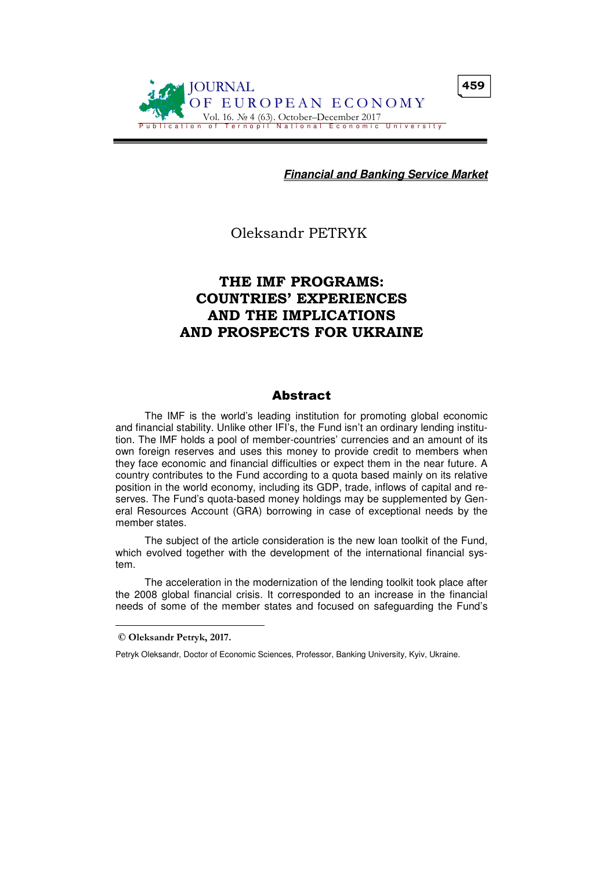

**Financial and Banking Service Market**

Oleksandr PETRYK

# THE IMF PROGRAMS: COUNTRIES' EXPERIENCES AND THE IMPLICATIONS AND PROSPECTS FOR UKRAINE

#### Abstract

The IMF is the world's leading institution for promoting global economic and financial stability. Unlike other IFI's, the Fund isn't an ordinary lending institution. The IMF holds a pool of member-countries' currencies and an amount of its own foreign reserves and uses this money to provide credit to members when they face economic and financial difficulties or expect them in the near future. A country contributes to the Fund according to a quota based mainly on its relative position in the world economy, including its GDP, trade, inflows of capital and reserves. The Fund's quota-based money holdings may be supplemented by General Resources Account (GRA) borrowing in case of exceptional needs by the member states.

The subject of the article consideration is the new loan toolkit of the Fund, which evolved together with the development of the international financial system.

The acceleration in the modernization of the lending toolkit took place after the 2008 global financial crisis. It corresponded to an increase in the financial needs of some of the member states and focused on safeguarding the Fund's

 $\overline{a}$ 

© Oleksandr Petryk, 2017.

Petryk Oleksandr, Doctor of Economic Sciences, Professor, Banking University, Kyiv, Ukraine.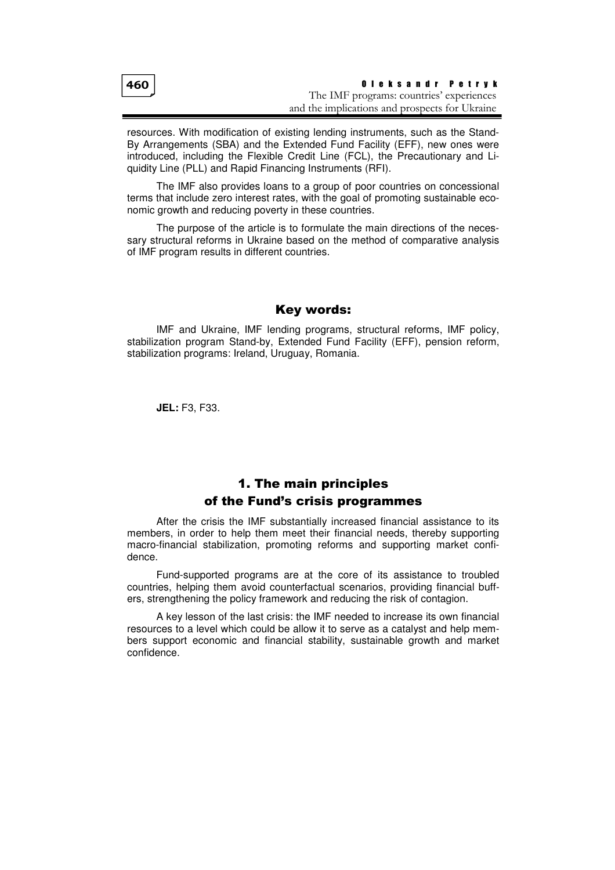resources. With modification of existing lending instruments, such as the Stand-By Arrangements (SBA) and the Extended Fund Facility (EFF), new ones were introduced, including the Flexible Credit Line (FCL), the Precautionary and Liquidity Line (PLL) and Rapid Financing Instruments (RFI).

The IMF also provides loans to a group of poor countries on concessional terms that include zero interest rates, with the goal of promoting sustainable economic growth and reducing poverty in these countries.

The purpose of the article is to formulate the main directions of the necessary structural reforms in Ukraine based on the method of comparative analysis of IMF program results in different countries.

### Key words:

IMF and Ukraine, IMF lending programs, structural reforms, IMF policy, stabilization program Stand-by, Extended Fund Facility (EFF), pension reform, stabilization programs: Ireland, Uruguay, Romania.

**JEL:** F3, F33.

# 1. The main principles of the Fund's crisis programmes

After the crisis the IMF substantially increased financial assistance to its members, in order to help them meet their financial needs, thereby supporting macro-financial stabilization, promoting reforms and supporting market confidence.

Fund-supported programs are at the core of its assistance to troubled countries, helping them avoid counterfactual scenarios, providing financial buffers, strengthening the policy framework and reducing the risk of contagion.

A key lesson of the last crisis: the IMF needed to increase its own financial resources to a level which could be allow it to serve as a catalyst and help members support economic and financial stability, sustainable growth and market confidence.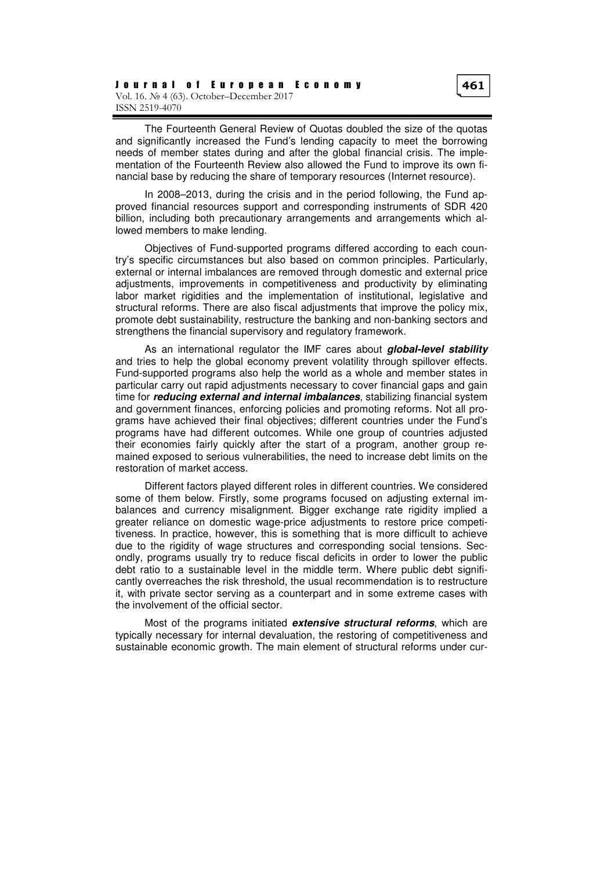The Fourteenth General Review of Quotas doubled the size of the quotas and significantly increased the Fund's lending capacity to meet the borrowing needs of member states during and after the global financial crisis. The implementation of the Fourteenth Review also allowed the Fund to improve its own financial base by reducing the share of temporary resources (Internet resource).

In 2008–2013, during the crisis and in the period following, the Fund approved financial resources support and corresponding instruments of SDR 420 billion, including both precautionary arrangements and arrangements which allowed members to make lending.

Objectives of Fund-supported programs differed according to each country's specific circumstances but also based on common principles. Particularly, external or internal imbalances are removed through domestic and external price adjustments, improvements in competitiveness and productivity by eliminating labor market rigidities and the implementation of institutional, legislative and structural reforms. There are also fiscal adjustments that improve the policy mix, promote debt sustainability, restructure the banking and non-banking sectors and strengthens the financial supervisory and regulatory framework.

As an international regulator the IMF cares about **global-level stability** and tries to help the global economy prevent volatility through spillover effects. Fund-supported programs also help the world as a whole and member states in particular carry out rapid adjustments necessary to cover financial gaps and gain time for **reducing external and internal imbalances**, stabilizing financial system and government finances, enforcing policies and promoting reforms. Not all programs have achieved their final objectives; different countries under the Fund's programs have had different outcomes. While one group of countries adjusted their economies fairly quickly after the start of a program, another group remained exposed to serious vulnerabilities, the need to increase debt limits on the restoration of market access.

Different factors played different roles in different countries. We considered some of them below. Firstly, some programs focused on adjusting external imbalances and currency misalignment. Bigger exchange rate rigidity implied a greater reliance on domestic wage-price adjustments to restore price competitiveness. In practice, however, this is something that is more difficult to achieve due to the rigidity of wage structures and corresponding social tensions. Secondly, programs usually try to reduce fiscal deficits in order to lower the public debt ratio to a sustainable level in the middle term. Where public debt significantly overreaches the risk threshold, the usual recommendation is to restructure it, with private sector serving as a counterpart and in some extreme cases with the involvement of the official sector.

Most of the programs initiated **extensive structural reforms**, which are typically necessary for internal devaluation, the restoring of competitiveness and sustainable economic growth. The main element of structural reforms under cur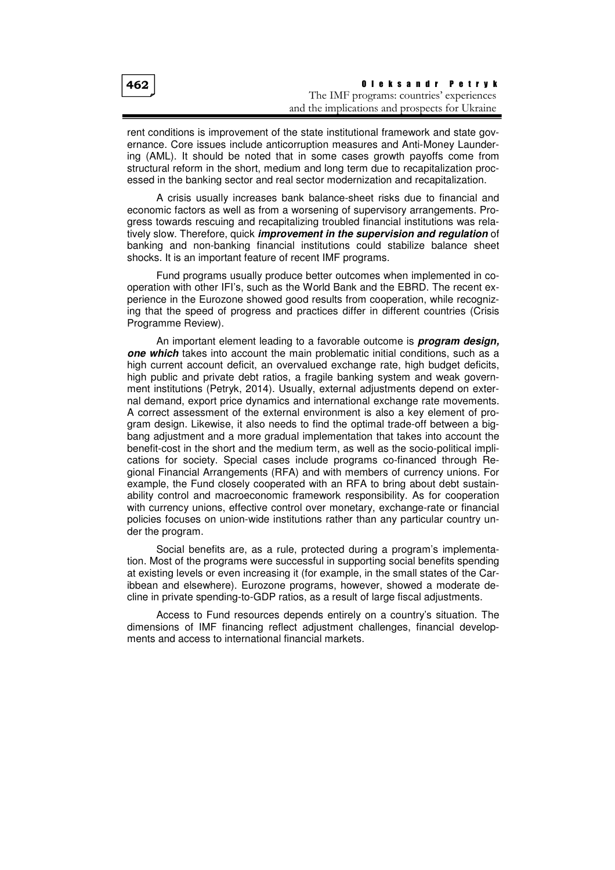rent conditions is improvement of the state institutional framework and state governance. Core issues include anticorruption measures and Anti-Money Laundering (AML). It should be noted that in some cases growth payoffs come from structural reform in the short, medium and long term due to recapitalization processed in the banking sector and real sector modernization and recapitalization.

A crisis usually increases bank balance-sheet risks due to financial and economic factors as well as from a worsening of supervisory arrangements. Progress towards rescuing and recapitalizing troubled financial institutions was relatively slow. Therefore, quick **improvement in the supervision and regulation** of banking and non-banking financial institutions could stabilize balance sheet shocks. It is an important feature of recent IMF programs.

Fund programs usually produce better outcomes when implemented in cooperation with other IFI's, such as the World Bank and the EBRD. The recent experience in the Eurozone showed good results from cooperation, while recognizing that the speed of progress and practices differ in different countries (Crisis Programme Review).

An important element leading to a favorable outcome is **program design, one which** takes into account the main problematic initial conditions, such as a high current account deficit, an overvalued exchange rate, high budget deficits, high public and private debt ratios, a fragile banking system and weak government institutions (Petryk, 2014). Usually, external adjustments depend on external demand, export price dynamics and international exchange rate movements. A correct assessment of the external environment is also a key element of program design. Likewise, it also needs to find the optimal trade-off between a bigbang adjustment and a more gradual implementation that takes into account the benefit-cost in the short and the medium term, as well as the socio-political implications for society. Special cases include programs co-financed through Regional Financial Arrangements (RFA) and with members of currency unions. For example, the Fund closely cooperated with an RFA to bring about debt sustainability control and macroeconomic framework responsibility. As for cooperation with currency unions, effective control over monetary, exchange-rate or financial policies focuses on union-wide institutions rather than any particular country under the program.

Social benefits are, as a rule, protected during a program's implementation. Most of the programs were successful in supporting social benefits spending at existing levels or even increasing it (for example, in the small states of the Caribbean and elsewhere). Eurozone programs, however, showed a moderate decline in private spending-to-GDP ratios, as a result of large fiscal adjustments.

Access to Fund resources depends entirely on a country's situation. The dimensions of IMF financing reflect adjustment challenges, financial developments and access to international financial markets.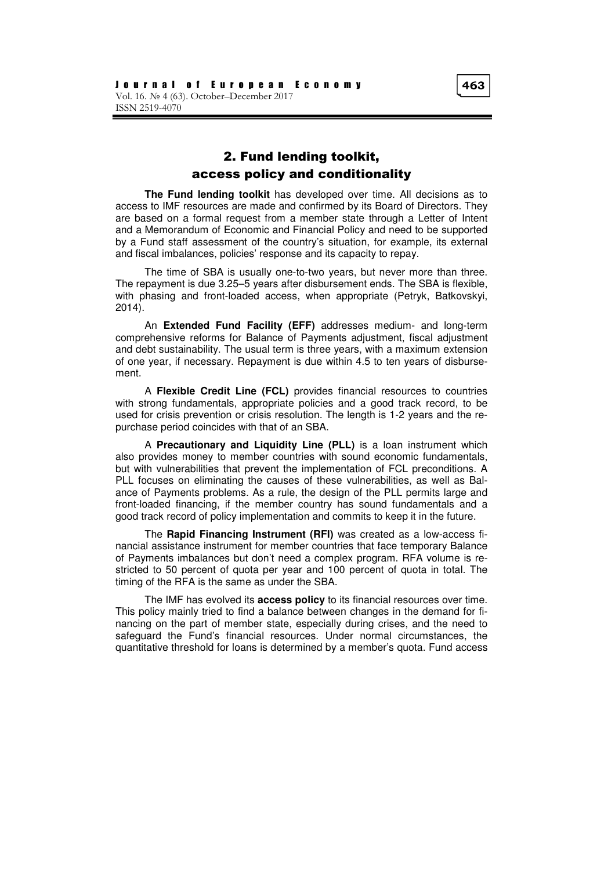## 2. Fund lending toolkit, access policy and conditionality

**The Fund lending toolkit** has developed over time. All decisions as to access to IMF resources are made and confirmed by its Board of Directors. They are based on a formal request from a member state through a Letter of Intent and a Memorandum of Economic and Financial Policy and need to be supported by a Fund staff assessment of the country's situation, for example, its external and fiscal imbalances, policies' response and its capacity to repay.

The time of SBA is usually one-to-two years, but never more than three. The repayment is due 3.25–5 years after disbursement ends. The SBA is flexible, with phasing and front-loaded access, when appropriate (Petryk, Batkovskyi, 2014).

An **Extended Fund Facility (EFF)** addresses medium- and long-term comprehensive reforms for Balance of Payments adjustment, fiscal adjustment and debt sustainability. The usual term is three years, with a maximum extension of one year, if necessary. Repayment is due within 4.5 to ten years of disbursement.

A **Flexible Credit Line (FCL)** provides financial resources to countries with strong fundamentals, appropriate policies and a good track record, to be used for crisis prevention or crisis resolution. The length is 1-2 years and the repurchase period coincides with that of an SBA.

A **Precautionary and Liquidity Line (PLL)** is a loan instrument which also provides money to member countries with sound economic fundamentals, but with vulnerabilities that prevent the implementation of FCL preconditions. A PLL focuses on eliminating the causes of these vulnerabilities, as well as Balance of Payments problems. As a rule, the design of the PLL permits large and front-loaded financing, if the member country has sound fundamentals and a good track record of policy implementation and commits to keep it in the future.

The **Rapid Financing Instrument (RFI)** was created as a low-access financial assistance instrument for member countries that face temporary Balance of Payments imbalances but don't need a complex program. RFA volume is restricted to 50 percent of quota per year and 100 percent of quota in total. The timing of the RFA is the same as under the SBA.

The IMF has evolved its **access policy** to its financial resources over time. This policy mainly tried to find a balance between changes in the demand for financing on the part of member state, especially during crises, and the need to safeguard the Fund's financial resources. Under normal circumstances, the quantitative threshold for loans is determined by a member's quota. Fund access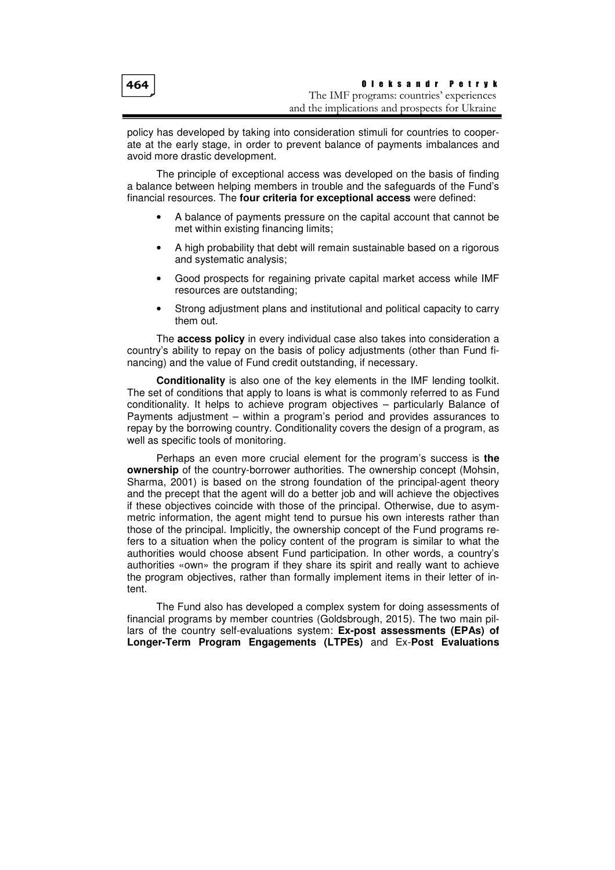policy has developed by taking into consideration stimuli for countries to cooperate at the early stage, in order to prevent balance of payments imbalances and avoid more drastic development.

The principle of exceptional access was developed on the basis of finding a balance between helping members in trouble and the safeguards of the Fund's financial resources. The **four criteria for exceptional access** were defined:

- A balance of payments pressure on the capital account that cannot be met within existing financing limits;
- A high probability that debt will remain sustainable based on a rigorous and systematic analysis;
- Good prospects for regaining private capital market access while IMF resources are outstanding;
- Strong adjustment plans and institutional and political capacity to carry them out.

The **access policy** in every individual case also takes into consideration a country's ability to repay on the basis of policy adjustments (other than Fund financing) and the value of Fund credit outstanding, if necessary.

**Conditionality** is also one of the key elements in the IMF lending toolkit. The set of conditions that apply to loans is what is commonly referred to as Fund conditionality. It helps to achieve program objectives – particularly Balance of Payments adjustment – within a program's period and provides assurances to repay by the borrowing country. Conditionality covers the design of a program, as well as specific tools of monitoring.

Perhaps an even more crucial element for the program's success is **the ownership** of the country-borrower authorities. The ownership concept (Mohsin, Sharma, 2001) is based on the strong foundation of the principal-agent theory and the precept that the agent will do a better job and will achieve the objectives if these objectives coincide with those of the principal. Otherwise, due to asymmetric information, the agent might tend to pursue his own interests rather than those of the principal. Implicitly, the ownership concept of the Fund programs refers to a situation when the policy content of the program is similar to what the authorities would choose absent Fund participation. In other words, a country's authorities «own» the program if they share its spirit and really want to achieve the program objectives, rather than formally implement items in their letter of intent.

The Fund also has developed a complex system for doing assessments of financial programs by member countries (Goldsbrough, 2015). The two main pillars of the country self-evaluations system: **Ex-post assessments (EPAs) of Longer-Term Program Engagements (LTPEs)** and Ex-**Post Evaluations**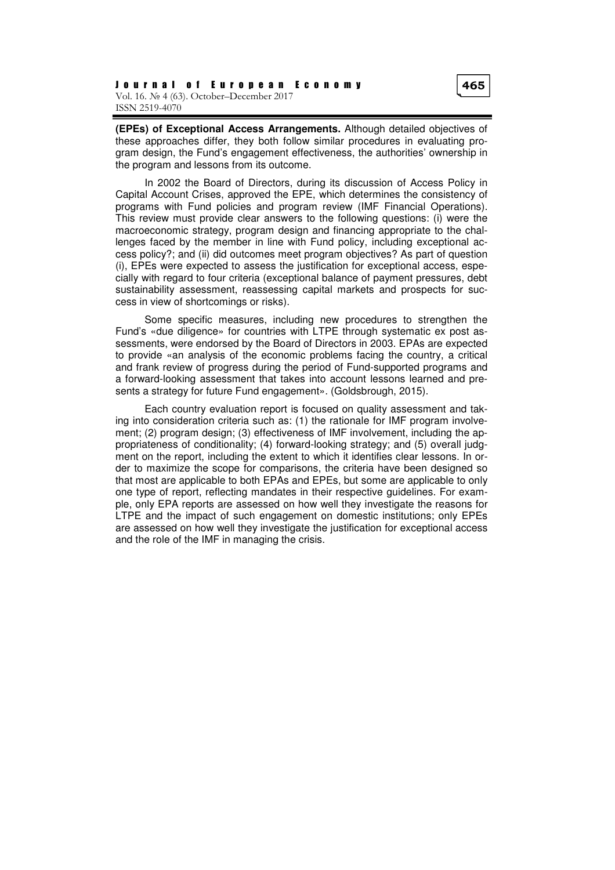**(EPEs) of Exceptional Access Arrangements.** Although detailed objectives of these approaches differ, they both follow similar procedures in evaluating program design, the Fund's engagement effectiveness, the authorities' ownership in the program and lessons from its outcome.

In 2002 the Board of Directors, during its discussion of Access Policy in Capital Account Crises, approved the EPE, which determines the consistency of programs with Fund policies and program review (IMF Financial Operations). This review must provide clear answers to the following questions: (i) were the macroeconomic strategy, program design and financing appropriate to the challenges faced by the member in line with Fund policy, including exceptional access policy?; and (ii) did outcomes meet program objectives? As part of question (i), EPEs were expected to assess the justification for exceptional access, especially with regard to four criteria (exceptional balance of payment pressures, debt sustainability assessment, reassessing capital markets and prospects for success in view of shortcomings or risks).

Some specific measures, including new procedures to strengthen the Fund's «due diligence» for countries with LTPE through systematic ex post assessments, were endorsed by the Board of Directors in 2003. EPAs are expected to provide «an analysis of the economic problems facing the country, a critical and frank review of progress during the period of Fund-supported programs and a forward-looking assessment that takes into account lessons learned and presents a strategy for future Fund engagement». (Goldsbrough, 2015).

Each country evaluation report is focused on quality assessment and taking into consideration criteria such as: (1) the rationale for IMF program involvement; (2) program design; (3) effectiveness of IMF involvement, including the appropriateness of conditionality; (4) forward-looking strategy; and (5) overall judgment on the report, including the extent to which it identifies clear lessons. In order to maximize the scope for comparisons, the criteria have been designed so that most are applicable to both EPAs and EPEs, but some are applicable to only one type of report, reflecting mandates in their respective guidelines. For example, only EPA reports are assessed on how well they investigate the reasons for LTPE and the impact of such engagement on domestic institutions; only EPEs are assessed on how well they investigate the justification for exceptional access and the role of the IMF in managing the crisis.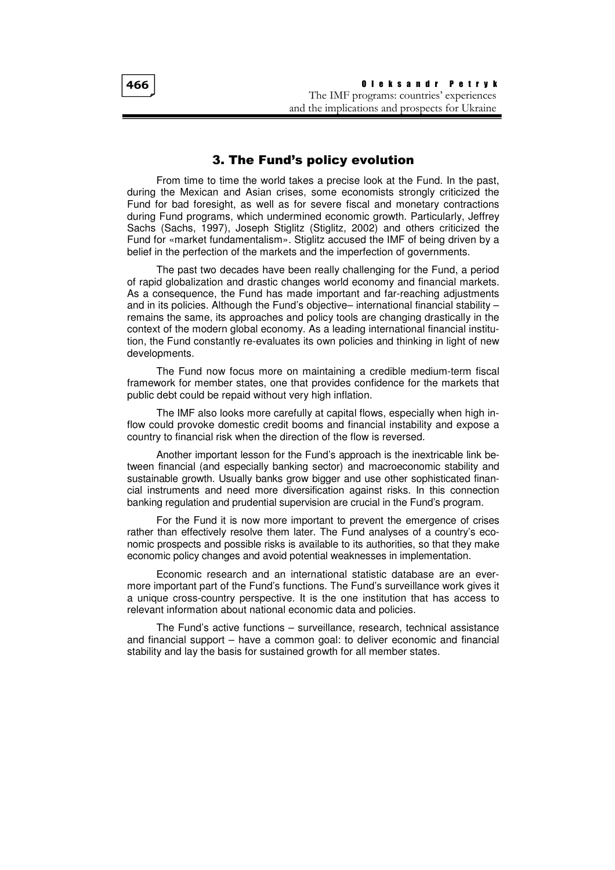O l e k s a n d r P e t r y k The IMF programs: countries' experiences and the implications and prospects for Ukraine

## 3. The Fund's policy evolution

From time to time the world takes a precise look at the Fund. In the past, during the Mexican and Asian crises, some economists strongly criticized the Fund for bad foresight, as well as for severe fiscal and monetary contractions during Fund programs, which undermined economic growth. Particularly, Jeffrey Sachs (Sachs, 1997), Joseph Stiglitz (Stiglitz, 2002) and others criticized the Fund for «market fundamentalism». Stiglitz accused the IMF of being driven by a belief in the perfection of the markets and the imperfection of governments.

The past two decades have been really challenging for the Fund, a period of rapid globalization and drastic changes world economy and financial markets. As a consequence, the Fund has made important and far-reaching adjustments and in its policies. Although the Fund's objective– international financial stability – remains the same, its approaches and policy tools are changing drastically in the context of the modern global economy. As a leading international financial institution, the Fund constantly re-evaluates its own policies and thinking in light of new developments.

The Fund now focus more on maintaining a credible medium-term fiscal framework for member states, one that provides confidence for the markets that public debt could be repaid without very high inflation.

The IMF also looks more carefully at capital flows, especially when high inflow could provoke domestic credit booms and financial instability and expose a country to financial risk when the direction of the flow is reversed.

Another important lesson for the Fund's approach is the inextricable link between financial (and especially banking sector) and macroeconomic stability and sustainable growth. Usually banks grow bigger and use other sophisticated financial instruments and need more diversification against risks. In this connection banking regulation and prudential supervision are crucial in the Fund's program.

For the Fund it is now more important to prevent the emergence of crises rather than effectively resolve them later. The Fund analyses of a country's economic prospects and possible risks is available to its authorities, so that they make economic policy changes and avoid potential weaknesses in implementation.

Economic research and an international statistic database are an evermore important part of the Fund's functions. The Fund's surveillance work gives it a unique cross-country perspective. It is the one institution that has access to relevant information about national economic data and policies.

The Fund's active functions – surveillance, research, technical assistance and financial support – have a common goal: to deliver economic and financial stability and lay the basis for sustained growth for all member states.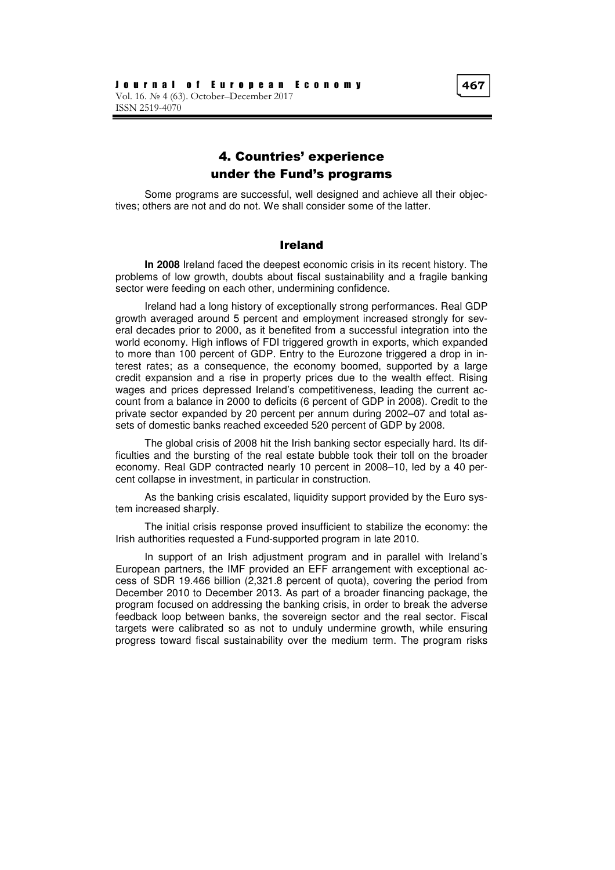# 4. Countries' experience under the Fund's programs

Some programs are successful, well designed and achieve all their objectives; others are not and do not. We shall consider some of the latter.

#### Ireland

**In 2008** Ireland faced the deepest economic crisis in its recent history. The problems of low growth, doubts about fiscal sustainability and a fragile banking sector were feeding on each other, undermining confidence.

Ireland had a long history of exceptionally strong performances. Real GDP growth averaged around 5 percent and employment increased strongly for several decades prior to 2000, as it benefited from a successful integration into the world economy. High inflows of FDI triggered growth in exports, which expanded to more than 100 percent of GDP. Entry to the Eurozone triggered a drop in interest rates; as a consequence, the economy boomed, supported by a large credit expansion and a rise in property prices due to the wealth effect. Rising wages and prices depressed Ireland's competitiveness, leading the current account from a balance in 2000 to deficits (6 percent of GDP in 2008). Credit to the private sector expanded by 20 percent per annum during 2002–07 and total assets of domestic banks reached exceeded 520 percent of GDP by 2008.

The global crisis of 2008 hit the Irish banking sector especially hard. Its difficulties and the bursting of the real estate bubble took their toll on the broader economy. Real GDP contracted nearly 10 percent in 2008–10, led by a 40 percent collapse in investment, in particular in construction.

As the banking crisis escalated, liquidity support provided by the Euro system increased sharply.

The initial crisis response proved insufficient to stabilize the economy: the Irish authorities requested a Fund-supported program in late 2010.

In support of an Irish adjustment program and in parallel with Ireland's European partners, the IMF provided an EFF arrangement with exceptional access of SDR 19.466 billion (2,321.8 percent of quota), covering the period from December 2010 to December 2013. As part of a broader financing package, the program focused on addressing the banking crisis, in order to break the adverse feedback loop between banks, the sovereign sector and the real sector. Fiscal targets were calibrated so as not to unduly undermine growth, while ensuring progress toward fiscal sustainability over the medium term. The program risks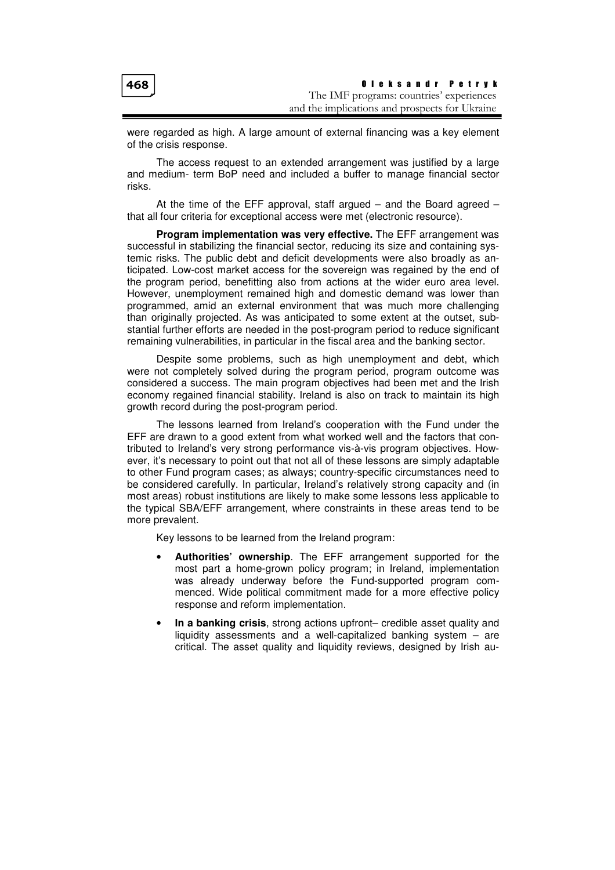were regarded as high. A large amount of external financing was a key element of the crisis response.

The access request to an extended arrangement was justified by a large and medium- term BoP need and included a buffer to manage financial sector risks.

At the time of the EFF approval, staff argued  $-$  and the Board agreed  $$ that all four criteria for exceptional access were met (electronic resource).

**Program implementation was very effective.** The EFF arrangement was successful in stabilizing the financial sector, reducing its size and containing systemic risks. The public debt and deficit developments were also broadly as anticipated. Low-cost market access for the sovereign was regained by the end of the program period, benefitting also from actions at the wider euro area level. However, unemployment remained high and domestic demand was lower than programmed, amid an external environment that was much more challenging than originally projected. As was anticipated to some extent at the outset, substantial further efforts are needed in the post-program period to reduce significant remaining vulnerabilities, in particular in the fiscal area and the banking sector.

Despite some problems, such as high unemployment and debt, which were not completely solved during the program period, program outcome was considered a success. The main program objectives had been met and the Irish economy regained financial stability. Ireland is also on track to maintain its high growth record during the post-program period.

The lessons learned from Ireland's cooperation with the Fund under the EFF are drawn to a good extent from what worked well and the factors that contributed to Ireland's very strong performance vis-à-vis program objectives. However, it's necessary to point out that not all of these lessons are simply adaptable to other Fund program cases; as always; country-specific circumstances need to be considered carefully. In particular, Ireland's relatively strong capacity and (in most areas) robust institutions are likely to make some lessons less applicable to the typical SBA/EFF arrangement, where constraints in these areas tend to be more prevalent.

Key lessons to be learned from the Ireland program:

- **Authorities' ownership**. The EFF arrangement supported for the most part a home-grown policy program; in Ireland, implementation was already underway before the Fund-supported program commenced. Wide political commitment made for a more effective policy response and reform implementation.
- **In a banking crisis**, strong actions upfront– credible asset quality and liquidity assessments and a well-capitalized banking system  $-$  are critical. The asset quality and liquidity reviews, designed by Irish au-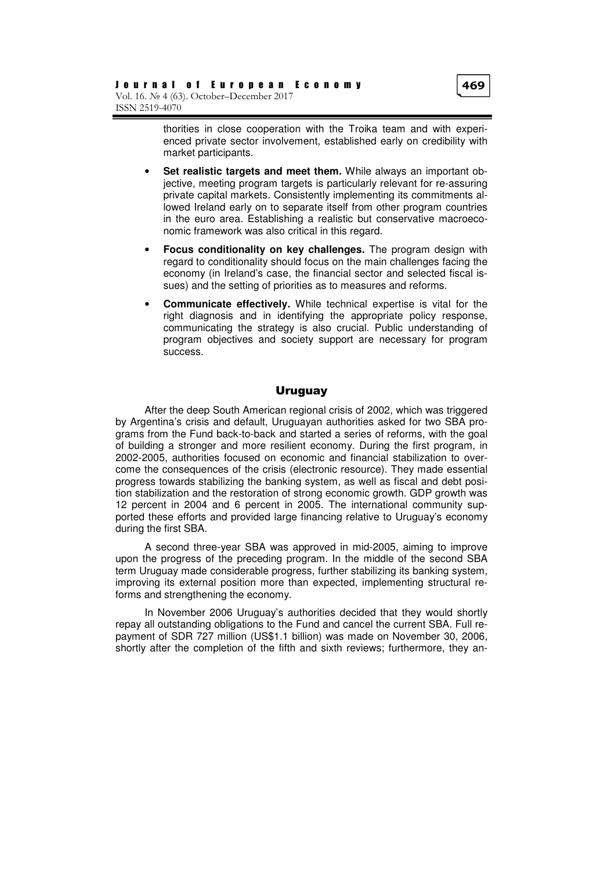thorities in close cooperation with the Troika team and with experienced private sector involvement, established early on credibility with market participants.

- **Set realistic targets and meet them.** While always an important objective, meeting program targets is particularly relevant for re-assuring private capital markets. Consistently implementing its commitments allowed Ireland early on to separate itself from other program countries in the euro area. Establishing a realistic but conservative macroeconomic framework was also critical in this regard.
- **Focus conditionality on key challenges.** The program design with regard to conditionality should focus on the main challenges facing the economy (in Ireland's case, the financial sector and selected fiscal issues) and the setting of priorities as to measures and reforms.
- **Communicate effectively.** While technical expertise is vital for the right diagnosis and in identifying the appropriate policy response, communicating the strategy is also crucial. Public understanding of program objectives and society support are necessary for program success.

#### Uruguay

After the deep South American regional crisis of 2002, which was triggered by Argentina's crisis and default, Uruguayan authorities asked for two SBA programs from the Fund back-to-back and started a series of reforms, with the goal of building a stronger and more resilient economy. During the first program, in 2002-2005, authorities focused on economic and financial stabilization to overcome the consequences of the crisis (electronic resource). They made essential progress towards stabilizing the banking system, as well as fiscal and debt position stabilization and the restoration of strong economic growth. GDP growth was 12 percent in 2004 and 6 percent in 2005. The international community supported these efforts and provided large financing relative to Uruguay's economy during the first SBA.

A second three-year SBA was approved in mid-2005, aiming to improve upon the progress of the preceding program. In the middle of the second SBA term Uruguay made considerable progress, further stabilizing its banking system, improving its external position more than expected, implementing structural reforms and strengthening the economy.

In November 2006 Uruguay's authorities decided that they would shortly repay all outstanding obligations to the Fund and cancel the current SBA. Full repayment of SDR 727 million (US\$1.1 billion) was made on November 30, 2006, shortly after the completion of the fifth and sixth reviews; furthermore, they an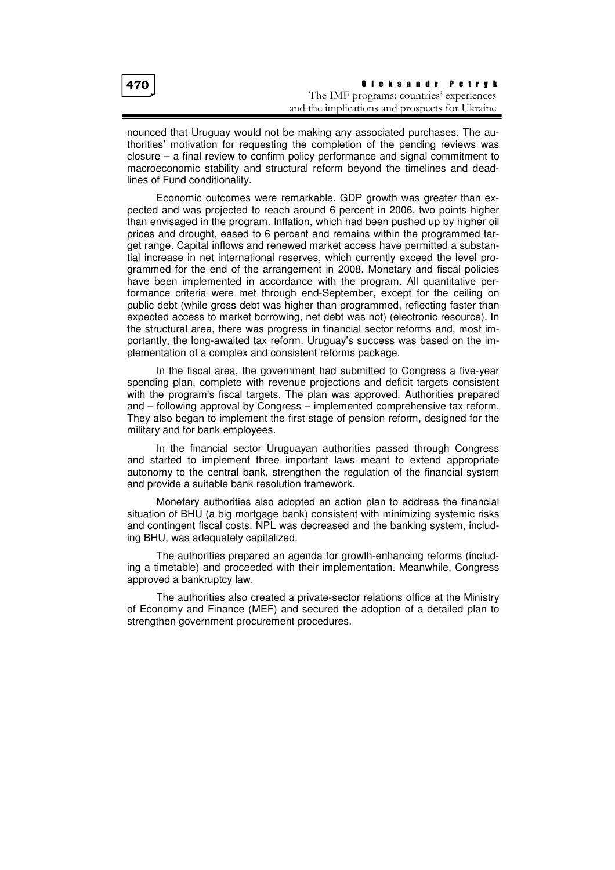nounced that Uruguay would not be making any associated purchases. The authorities' motivation for requesting the completion of the pending reviews was closure – a final review to confirm policy performance and signal commitment to macroeconomic stability and structural reform beyond the timelines and deadlines of Fund conditionality.

Economic outcomes were remarkable. GDP growth was greater than expected and was projected to reach around 6 percent in 2006, two points higher than envisaged in the program. Inflation, which had been pushed up by higher oil prices and drought, eased to 6 percent and remains within the programmed target range. Capital inflows and renewed market access have permitted a substantial increase in net international reserves, which currently exceed the level programmed for the end of the arrangement in 2008. Monetary and fiscal policies have been implemented in accordance with the program. All quantitative performance criteria were met through end-September, except for the ceiling on public debt (while gross debt was higher than programmed, reflecting faster than expected access to market borrowing, net debt was not) (electronic resource). In the structural area, there was progress in financial sector reforms and, most importantly, the long-awaited tax reform. Uruguay's success was based on the implementation of a complex and consistent reforms package.

In the fiscal area, the government had submitted to Congress a five-year spending plan, complete with revenue projections and deficit targets consistent with the program's fiscal targets. The plan was approved. Authorities prepared and – following approval by Congress – implemented comprehensive tax reform. They also began to implement the first stage of pension reform, designed for the military and for bank employees.

In the financial sector Uruguayan authorities passed through Congress and started to implement three important laws meant to extend appropriate autonomy to the central bank, strengthen the regulation of the financial system and provide a suitable bank resolution framework.

Monetary authorities also adopted an action plan to address the financial situation of BHU (a big mortgage bank) consistent with minimizing systemic risks and contingent fiscal costs. NPL was decreased and the banking system, including BHU, was adequately capitalized.

The authorities prepared an agenda for growth-enhancing reforms (including a timetable) and proceeded with their implementation. Meanwhile, Congress approved a bankruptcy law.

The authorities also created a private-sector relations office at the Ministry of Economy and Finance (MEF) and secured the adoption of a detailed plan to strengthen government procurement procedures.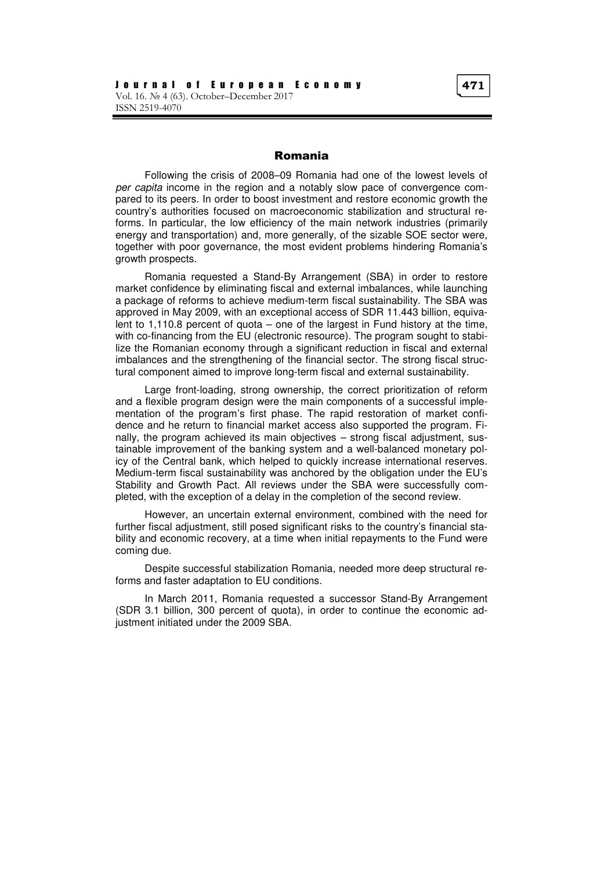#### Romania

Following the crisis of 2008–09 Romania had one of the lowest levels of per capita income in the region and a notably slow pace of convergence compared to its peers. In order to boost investment and restore economic growth the country's authorities focused on macroeconomic stabilization and structural reforms. In particular, the low efficiency of the main network industries (primarily energy and transportation) and, more generally, of the sizable SOE sector were, together with poor governance, the most evident problems hindering Romania's growth prospects.

Romania requested a Stand-By Arrangement (SBA) in order to restore market confidence by eliminating fiscal and external imbalances, while launching a package of reforms to achieve medium-term fiscal sustainability. The SBA was approved in May 2009, with an exceptional access of SDR 11.443 billion, equivalent to 1,110.8 percent of quota – one of the largest in Fund history at the time, with co-financing from the EU (electronic resource). The program sought to stabilize the Romanian economy through a significant reduction in fiscal and external imbalances and the strengthening of the financial sector. The strong fiscal structural component aimed to improve long-term fiscal and external sustainability.

Large front-loading, strong ownership, the correct prioritization of reform and a flexible program design were the main components of a successful implementation of the program's first phase. The rapid restoration of market confidence and he return to financial market access also supported the program. Finally, the program achieved its main objectives – strong fiscal adjustment, sustainable improvement of the banking system and a well-balanced monetary policy of the Central bank, which helped to quickly increase international reserves. Medium-term fiscal sustainability was anchored by the obligation under the EU's Stability and Growth Pact. All reviews under the SBA were successfully completed, with the exception of a delay in the completion of the second review.

However, an uncertain external environment, combined with the need for further fiscal adjustment, still posed significant risks to the country's financial stability and economic recovery, at a time when initial repayments to the Fund were coming due.

Despite successful stabilization Romania, needed more deep structural reforms and faster adaptation to EU conditions.

In March 2011, Romania requested a successor Stand-By Arrangement (SDR 3.1 billion, 300 percent of quota), in order to continue the economic adjustment initiated under the 2009 SBA.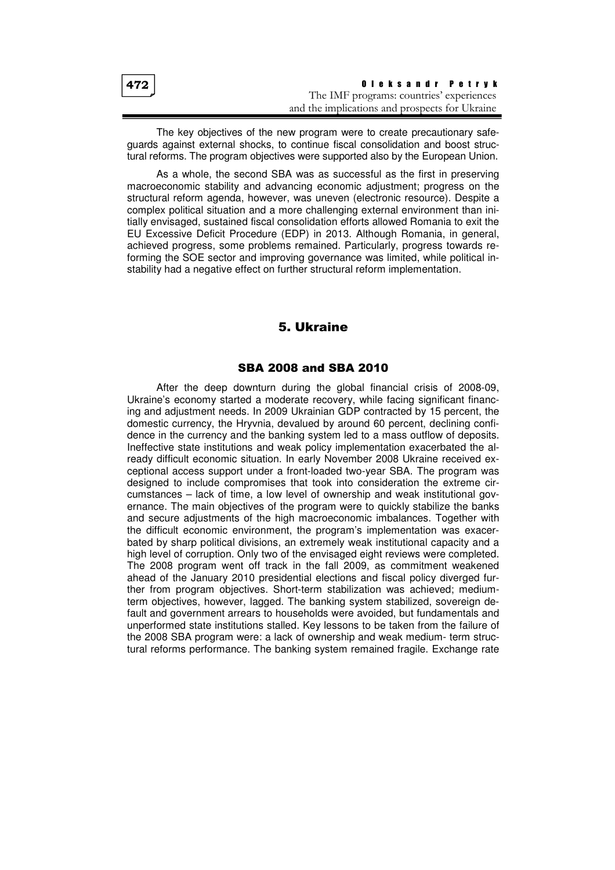| 472 | Oleksandr Petrvk                               |
|-----|------------------------------------------------|
|     | The IMF programs: countries' experiences       |
|     | and the implications and prospects for Ukraine |

The key objectives of the new program were to create precautionary safeguards against external shocks, to continue fiscal consolidation and boost structural reforms. The program objectives were supported also by the European Union.

As a whole, the second SBA was as successful as the first in preserving macroeconomic stability and advancing economic adjustment; progress on the structural reform agenda, however, was uneven (electronic resource). Despite a complex political situation and a more challenging external environment than initially envisaged, sustained fiscal consolidation efforts allowed Romania to exit the EU Excessive Deficit Procedure (EDP) in 2013. Although Romania, in general, achieved progress, some problems remained. Particularly, progress towards reforming the SOE sector and improving governance was limited, while political instability had a negative effect on further structural reform implementation.

#### 5. Ukraine

#### SBA 2008 and SBA 2010

After the deep downturn during the global financial crisis of 2008-09, Ukraine's economy started a moderate recovery, while facing significant financing and adjustment needs. In 2009 Ukrainian GDP contracted by 15 percent, the domestic currency, the Hryvnia, devalued by around 60 percent, declining confidence in the currency and the banking system led to a mass outflow of deposits. Ineffective state institutions and weak policy implementation exacerbated the already difficult economic situation. In early November 2008 Ukraine received exceptional access support under a front-loaded two-year SBA. The program was designed to include compromises that took into consideration the extreme circumstances – lack of time, a low level of ownership and weak institutional governance. The main objectives of the program were to quickly stabilize the banks and secure adjustments of the high macroeconomic imbalances. Together with the difficult economic environment, the program's implementation was exacerbated by sharp political divisions, an extremely weak institutional capacity and a high level of corruption. Only two of the envisaged eight reviews were completed. The 2008 program went off track in the fall 2009, as commitment weakened ahead of the January 2010 presidential elections and fiscal policy diverged further from program objectives. Short-term stabilization was achieved; mediumterm objectives, however, lagged. The banking system stabilized, sovereign default and government arrears to households were avoided, but fundamentals and unperformed state institutions stalled. Key lessons to be taken from the failure of the 2008 SBA program were: a lack of ownership and weak medium- term structural reforms performance. The banking system remained fragile. Exchange rate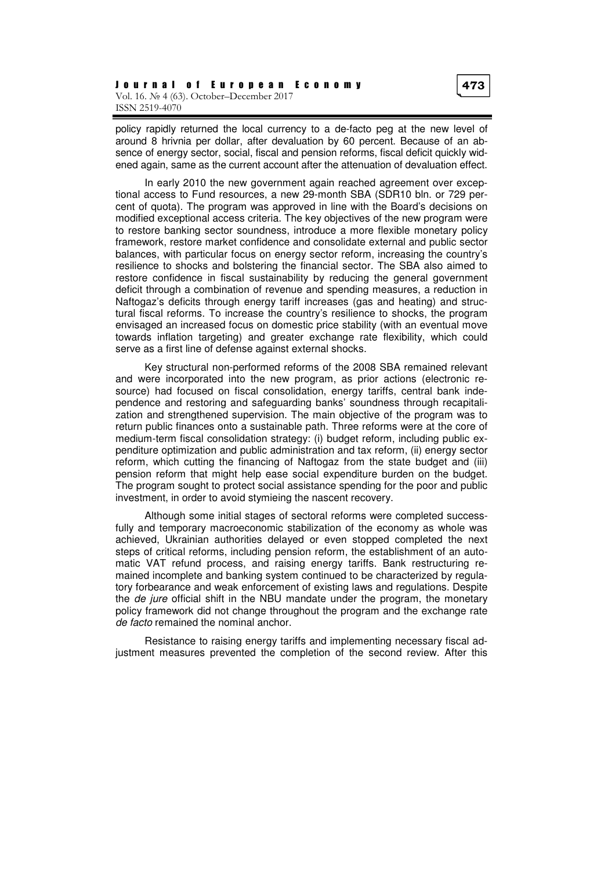policy rapidly returned the local currency to a de-facto peg at the new level of around 8 hrivnia per dollar, after devaluation by 60 percent. Because of an absence of energy sector, social, fiscal and pension reforms, fiscal deficit quickly widened again, same as the current account after the attenuation of devaluation effect.

In early 2010 the new government again reached agreement over exceptional access to Fund resources, a new 29-month SBA (SDR10 bln. or 729 percent of quota). The program was approved in line with the Board's decisions on modified exceptional access criteria. The key objectives of the new program were to restore banking sector soundness, introduce a more flexible monetary policy framework, restore market confidence and consolidate external and public sector balances, with particular focus on energy sector reform, increasing the country's resilience to shocks and bolstering the financial sector. The SBA also aimed to restore confidence in fiscal sustainability by reducing the general government deficit through a combination of revenue and spending measures, a reduction in Naftogaz's deficits through energy tariff increases (gas and heating) and structural fiscal reforms. To increase the country's resilience to shocks, the program envisaged an increased focus on domestic price stability (with an eventual move towards inflation targeting) and greater exchange rate flexibility, which could serve as a first line of defense against external shocks.

Key structural non-performed reforms of the 2008 SBA remained relevant and were incorporated into the new program, as prior actions (electronic resource) had focused on fiscal consolidation, energy tariffs, central bank independence and restoring and safeguarding banks' soundness through recapitalization and strengthened supervision. The main objective of the program was to return public finances onto a sustainable path. Three reforms were at the core of medium-term fiscal consolidation strategy: (i) budget reform, including public expenditure optimization and public administration and tax reform, (ii) energy sector reform, which cutting the financing of Naftogaz from the state budget and (iii) pension reform that might help ease social expenditure burden on the budget. The program sought to protect social assistance spending for the poor and public investment, in order to avoid stymieing the nascent recovery.

Although some initial stages of sectoral reforms were completed successfully and temporary macroeconomic stabilization of the economy as whole was achieved, Ukrainian authorities delayed or even stopped completed the next steps of critical reforms, including pension reform, the establishment of an automatic VAT refund process, and raising energy tariffs. Bank restructuring remained incomplete and banking system continued to be characterized by regulatory forbearance and weak enforcement of existing laws and regulations. Despite the *de jure* official shift in the NBU mandate under the program, the monetary policy framework did not change throughout the program and the exchange rate de facto remained the nominal anchor.

Resistance to raising energy tariffs and implementing necessary fiscal adjustment measures prevented the completion of the second review. After this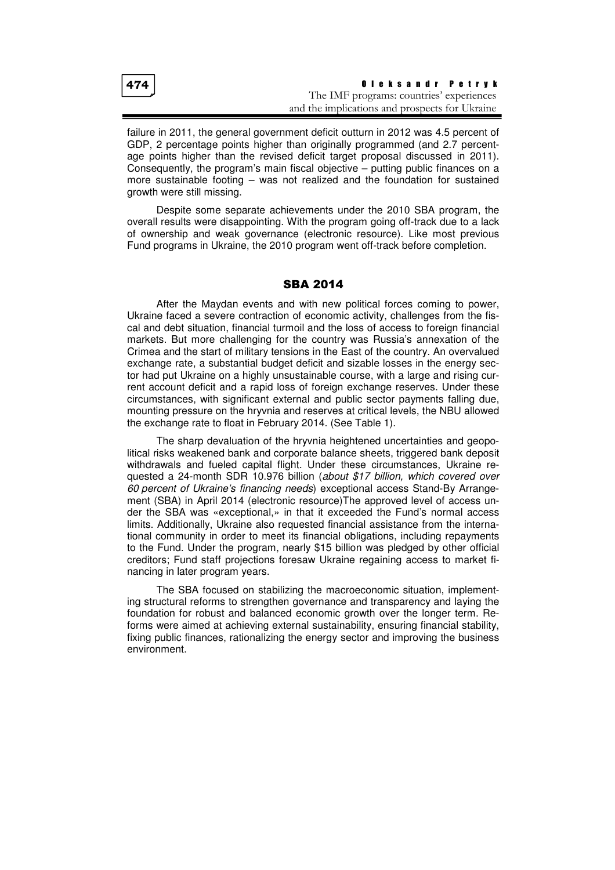| 474 | Oleksandr Petryk                               |
|-----|------------------------------------------------|
|     | The IMF programs: countries' experiences       |
|     | and the implications and prospects for Ukraine |

failure in 2011, the general government deficit outturn in 2012 was 4.5 percent of GDP, 2 percentage points higher than originally programmed (and 2.7 percentage points higher than the revised deficit target proposal discussed in 2011). Consequently, the program's main fiscal objective – putting public finances on a more sustainable footing – was not realized and the foundation for sustained growth were still missing.

Despite some separate achievements under the 2010 SBA program, the overall results were disappointing. With the program going off-track due to a lack of ownership and weak governance (electronic resource). Like most previous Fund programs in Ukraine, the 2010 program went off-track before completion.

#### SBA 2014

After the Maydan events and with new political forces coming to power, Ukraine faced a severe contraction of economic activity, challenges from the fiscal and debt situation, financial turmoil and the loss of access to foreign financial markets. But more challenging for the country was Russia's annexation of the Crimea and the start of military tensions in the East of the country. An overvalued exchange rate, a substantial budget deficit and sizable losses in the energy sector had put Ukraine on a highly unsustainable course, with a large and rising current account deficit and a rapid loss of foreign exchange reserves. Under these circumstances, with significant external and public sector payments falling due, mounting pressure on the hryvnia and reserves at critical levels, the NBU allowed the exchange rate to float in February 2014. (See Table 1).

The sharp devaluation of the hryvnia heightened uncertainties and geopolitical risks weakened bank and corporate balance sheets, triggered bank deposit withdrawals and fueled capital flight. Under these circumstances, Ukraine requested a 24-month SDR 10.976 billion (about \$17 billion, which covered over 60 percent of Ukraine's financing needs) exceptional access Stand-By Arrangement (SBA) in April 2014 (electronic resource)The approved level of access under the SBA was «exceptional,» in that it exceeded the Fund's normal access limits. Additionally, Ukraine also requested financial assistance from the international community in order to meet its financial obligations, including repayments to the Fund. Under the program, nearly \$15 billion was pledged by other official creditors; Fund staff projections foresaw Ukraine regaining access to market financing in later program years.

The SBA focused on stabilizing the macroeconomic situation, implementing structural reforms to strengthen governance and transparency and laying the foundation for robust and balanced economic growth over the longer term. Reforms were aimed at achieving external sustainability, ensuring financial stability, fixing public finances, rationalizing the energy sector and improving the business environment.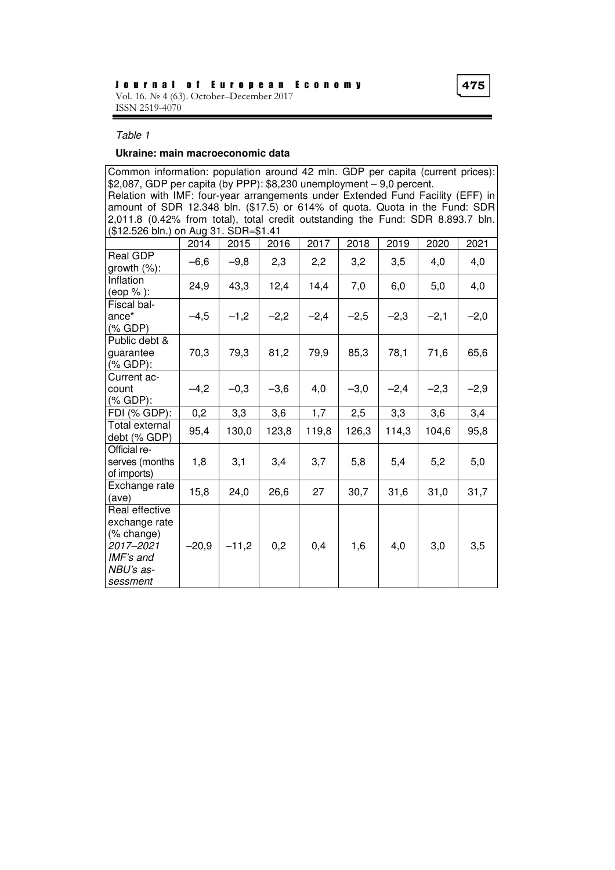#### Table 1

#### **Ukraine: main macroeconomic data**

Common information: population around 42 mln. GDP per capita (current prices): \$2,087, GDP per capita (by PPP): \$8,230 unemployment – 9,0 percent. Relation with IMF: four-year arrangements under Extended Fund Facility (EFF) in amount of SDR 12.348 bln. (\$17.5) or 614% of quota. Quota in the Fund: SDR 2,011.8 (0.42% from total), total credit outstanding the Fund: SDR 8.893.7 bln. (\$12.526 bln.) on Aug 31. SDR=\$1.41

|                                                                                                  | 2014    | 2015    | 2016   | 2017   | 2018   | 2019   | 2020   | 2021   |
|--------------------------------------------------------------------------------------------------|---------|---------|--------|--------|--------|--------|--------|--------|
| Real GDP<br>growth $(\%)$ :                                                                      | $-6,6$  | $-9,8$  | 2,3    | 2,2    | 3,2    | 3,5    | 4,0    | 4,0    |
| Inflation<br>(eop %):                                                                            | 24,9    | 43,3    | 12,4   | 14,4   | 7,0    | 6,0    | 5,0    | 4,0    |
| Fiscal bal-<br>$ance*$<br>$(\%$ GDP)                                                             | $-4,5$  | $-1,2$  | $-2,2$ | $-2,4$ | $-2,5$ | $-2,3$ | $-2,1$ | $-2,0$ |
| Public debt &<br>guarantee<br>(% GDP):                                                           | 70,3    | 79,3    | 81,2   | 79,9   | 85,3   | 78,1   | 71,6   | 65,6   |
| Current ac-<br>count<br>(% GDP):                                                                 | $-4,2$  | $-0,3$  | $-3,6$ | 4,0    | $-3,0$ | $-2,4$ | $-2,3$ | $-2,9$ |
| FDI (% GDP):                                                                                     | 0,2     | 3,3     | 3,6    | 1,7    | 2,5    | 3,3    | 3,6    | 3,4    |
| Total external<br>debt (% GDP)                                                                   | 95,4    | 130,0   | 123,8  | 119,8  | 126,3  | 114,3  | 104,6  | 95,8   |
| Official re-<br>serves (months<br>of imports)                                                    | 1,8     | 3,1     | 3,4    | 3,7    | 5,8    | 5,4    | 5,2    | 5,0    |
| Exchange rate<br>(ave)                                                                           | 15,8    | 24,0    | 26,6   | 27     | 30,7   | 31,6   | 31,0   | 31,7   |
| Real effective<br>exchange rate<br>(% change)<br>2017-2021<br>IMF's and<br>NBU's as-<br>sessment | $-20,9$ | $-11,2$ | 0,2    | 0,4    | 1,6    | 4,0    | 3,0    | 3,5    |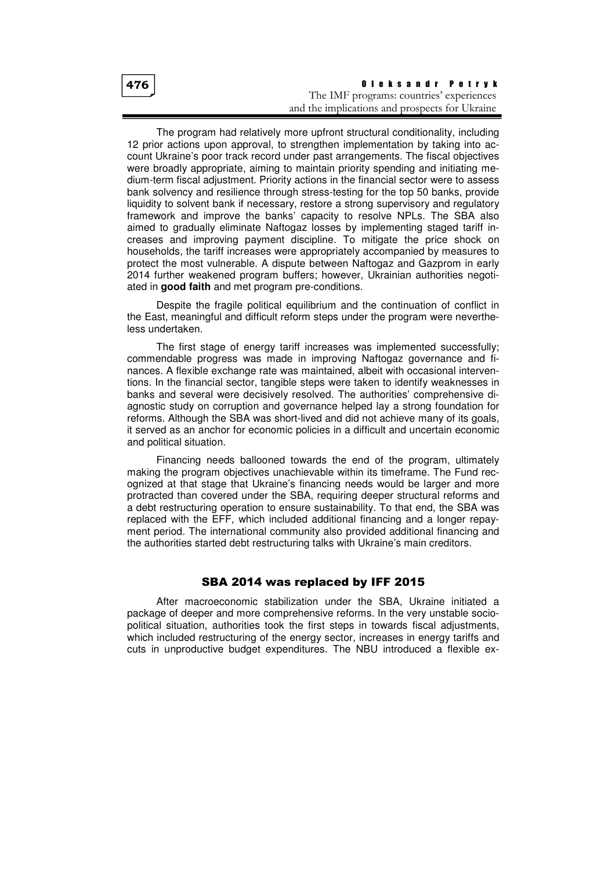| 476 | Oleksandr Petryk                               |
|-----|------------------------------------------------|
|     | The IMF programs: countries' experiences       |
|     | and the implications and prospects for Ukraine |

The program had relatively more upfront structural conditionality, including 12 prior actions upon approval, to strengthen implementation by taking into account Ukraine's poor track record under past arrangements. The fiscal objectives were broadly appropriate, aiming to maintain priority spending and initiating medium-term fiscal adjustment. Priority actions in the financial sector were to assess bank solvency and resilience through stress-testing for the top 50 banks, provide liquidity to solvent bank if necessary, restore a strong supervisory and regulatory framework and improve the banks' capacity to resolve NPLs. The SBA also aimed to gradually eliminate Naftogaz losses by implementing staged tariff increases and improving payment discipline. To mitigate the price shock on households, the tariff increases were appropriately accompanied by measures to protect the most vulnerable. A dispute between Naftogaz and Gazprom in early 2014 further weakened program buffers; however, Ukrainian authorities negotiated in **good faith** and met program pre-conditions.

Despite the fragile political equilibrium and the continuation of conflict in the East, meaningful and difficult reform steps under the program were nevertheless undertaken.

The first stage of energy tariff increases was implemented successfully; commendable progress was made in improving Naftogaz governance and finances. A flexible exchange rate was maintained, albeit with occasional interventions. In the financial sector, tangible steps were taken to identify weaknesses in banks and several were decisively resolved. The authorities' comprehensive diagnostic study on corruption and governance helped lay a strong foundation for reforms. Although the SBA was short-lived and did not achieve many of its goals, it served as an anchor for economic policies in a difficult and uncertain economic and political situation.

Financing needs ballooned towards the end of the program, ultimately making the program objectives unachievable within its timeframe. The Fund recognized at that stage that Ukraine's financing needs would be larger and more protracted than covered under the SBA, requiring deeper structural reforms and a debt restructuring operation to ensure sustainability. To that end, the SBA was replaced with the EFF, which included additional financing and a longer repayment period. The international community also provided additional financing and the authorities started debt restructuring talks with Ukraine's main creditors.

#### SBA 2014 was replaced by IFF 2015

After macroeconomic stabilization under the SBA, Ukraine initiated a package of deeper and more comprehensive reforms. In the very unstable sociopolitical situation, authorities took the first steps in towards fiscal adjustments, which included restructuring of the energy sector, increases in energy tariffs and cuts in unproductive budget expenditures. The NBU introduced a flexible ex-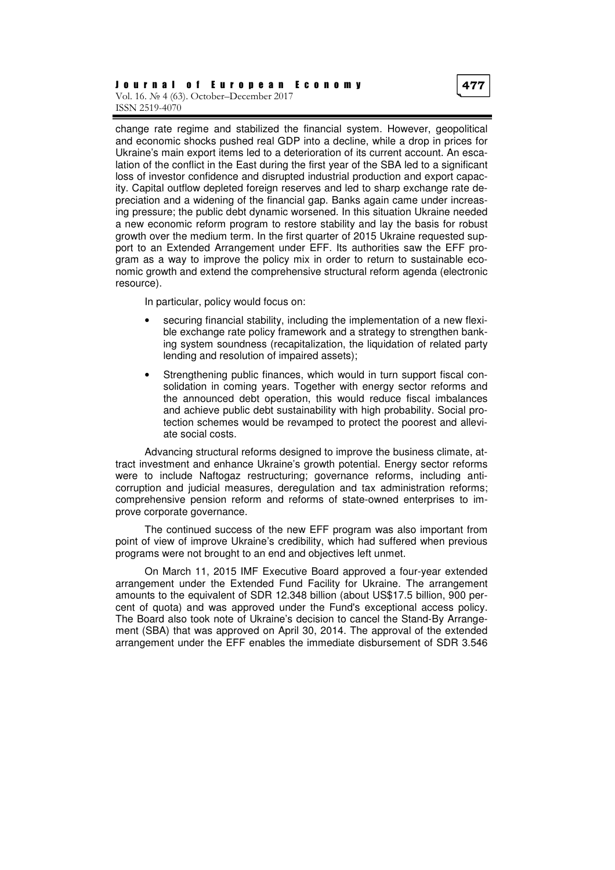#### J o u r n a l o f E u r o p e a n E c o n o m y Vol. 16. № 4 (63). October–December 2017 ISSN 2519-4070

change rate regime and stabilized the financial system. However, geopolitical and economic shocks pushed real GDP into a decline, while a drop in prices for Ukraine's main export items led to a deterioration of its current account. An escalation of the conflict in the East during the first year of the SBA led to a significant loss of investor confidence and disrupted industrial production and export capacity. Capital outflow depleted foreign reserves and led to sharp exchange rate depreciation and a widening of the financial gap. Banks again came under increasing pressure; the public debt dynamic worsened. In this situation Ukraine needed a new economic reform program to restore stability and lay the basis for robust growth over the medium term. In the first quarter of 2015 Ukraine requested support to an Extended Arrangement under EFF. Its authorities saw the EFF program as a way to improve the policy mix in order to return to sustainable economic growth and extend the comprehensive structural reform agenda (electronic resource).

In particular, policy would focus on:

- securing financial stability, including the implementation of a new flexible exchange rate policy framework and a strategy to strengthen banking system soundness (recapitalization, the liquidation of related party lending and resolution of impaired assets);
- Strengthening public finances, which would in turn support fiscal consolidation in coming years. Together with energy sector reforms and the announced debt operation, this would reduce fiscal imbalances and achieve public debt sustainability with high probability. Social protection schemes would be revamped to protect the poorest and alleviate social costs.

Advancing structural reforms designed to improve the business climate, attract investment and enhance Ukraine's growth potential. Energy sector reforms were to include Naftogaz restructuring; governance reforms, including anticorruption and judicial measures, deregulation and tax administration reforms; comprehensive pension reform and reforms of state-owned enterprises to improve corporate governance.

The continued success of the new EFF program was also important from point of view of improve Ukraine's credibility, which had suffered when previous programs were not brought to an end and objectives left unmet.

On March 11, 2015 IMF Executive Board approved a four-year extended arrangement under the Extended Fund Facility for Ukraine. The arrangement amounts to the equivalent of SDR 12.348 billion (about US\$17.5 billion, 900 percent of quota) and was approved under the Fund's exceptional access policy. The Board also took note of Ukraine's decision to cancel the Stand-By Arrangement (SBA) that was approved on April 30, 2014. The approval of the extended arrangement under the EFF enables the immediate disbursement of SDR 3.546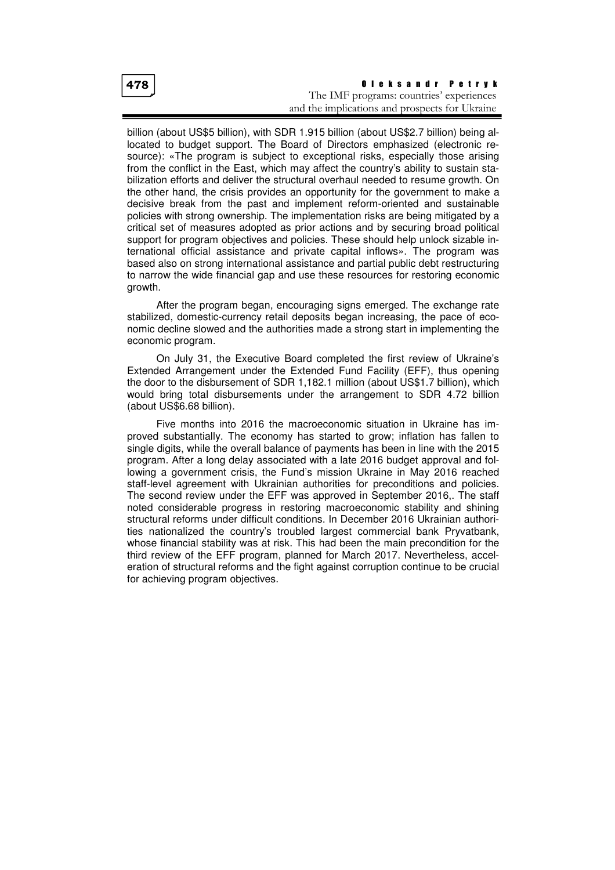#### O l e k s a n d r P e t r y k The IMF programs: countries' experiences and the implications and prospects for Ukraine

billion (about US\$5 billion), with SDR 1.915 billion (about US\$2.7 billion) being allocated to budget support. The Board of Directors emphasized (electronic resource): «The program is subject to exceptional risks, especially those arising from the conflict in the East, which may affect the country's ability to sustain stabilization efforts and deliver the structural overhaul needed to resume growth. On the other hand, the crisis provides an opportunity for the government to make a decisive break from the past and implement reform-oriented and sustainable policies with strong ownership. The implementation risks are being mitigated by a critical set of measures adopted as prior actions and by securing broad political support for program objectives and policies. These should help unlock sizable international official assistance and private capital inflows». The program was based also on strong international assistance and partial public debt restructuring to narrow the wide financial gap and use these resources for restoring economic growth.

After the program began, encouraging signs emerged. The exchange rate stabilized, domestic-currency retail deposits began increasing, the pace of economic decline slowed and the authorities made a strong start in implementing the economic program.

On July 31, the Executive Board completed the first review of Ukraine's Extended Arrangement under the Extended Fund Facility (EFF), thus opening the door to the disbursement of SDR 1,182.1 million (about US\$1.7 billion), which would bring total disbursements under the arrangement to SDR 4.72 billion (about US\$6.68 billion).

Five months into 2016 the macroeconomic situation in Ukraine has improved substantially. The economy has started to grow; inflation has fallen to single digits, while the overall balance of payments has been in line with the 2015 program. After a long delay associated with a late 2016 budget approval and following a government crisis, the Fund's mission Ukraine in May 2016 reached staff-level agreement with Ukrainian authorities for preconditions and policies. The second review under the EFF was approved in September 2016,. The staff noted considerable progress in restoring macroeconomic stability and shining structural reforms under difficult conditions. In December 2016 Ukrainian authorities nationalized the country's troubled largest commercial bank Pryvatbank, whose financial stability was at risk. This had been the main precondition for the third review of the EFF program, planned for March 2017. Nevertheless, acceleration of structural reforms and the fight against corruption continue to be crucial for achieving program objectives.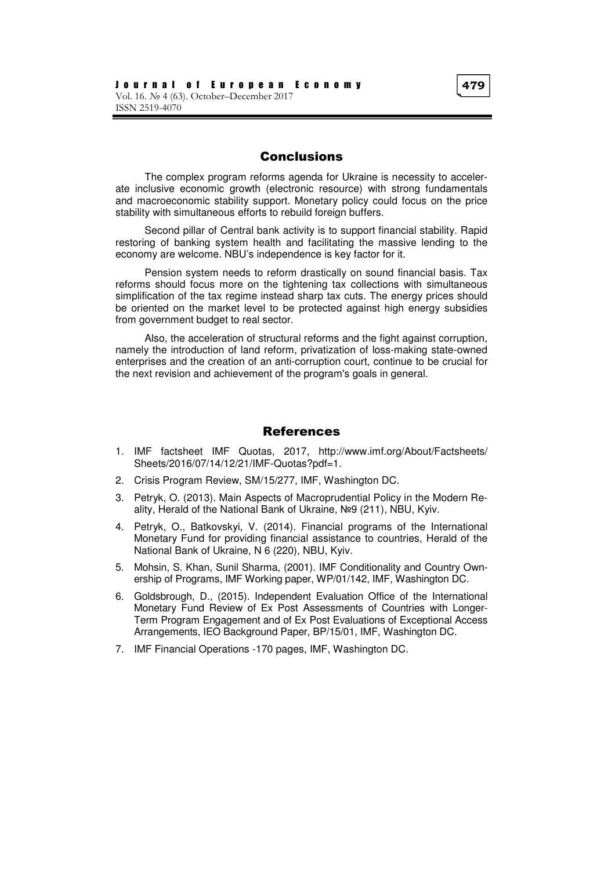## Conclusions

The complex program reforms agenda for Ukraine is necessity to accelerate inclusive economic growth (electronic resource) with strong fundamentals and macroeconomic stability support. Monetary policy could focus on the price stability with simultaneous efforts to rebuild foreign buffers.

Second pillar of Central bank activity is to support financial stability. Rapid restoring of banking system health and facilitating the massive lending to the economy are welcome. NBU's independence is key factor for it.

Pension system needs to reform drastically on sound financial basis. Tax reforms should focus more on the tightening tax collections with simultaneous simplification of the tax regime instead sharp tax cuts. The energy prices should be oriented on the market level to be protected against high energy subsidies from government budget to real sector.

Also, the acceleration of structural reforms and the fight against corruption, namely the introduction of land reform, privatization of loss-making state-owned enterprises and the creation of an anti-corruption court, continue to be crucial for the next revision and achievement of the program's goals in general.

### References

- 1. IMF factsheet IMF Quotas, 2017, http://www.imf.org/About/Factsheets/ Sheets/2016/07/14/12/21/IMF-Quotas?pdf=1.
- 2. Crisis Program Review, SM/15/277, IMF, Washington DC.
- 3. Petryk, O. (2013). Main Aspects of Macroprudential Policy in the Modern Reality, Herald of the National Bank of Ukraine, №9 (211), NBU, Kyiv.
- 4. Petryk, O., Batkovskyi, V. (2014). Financial programs of the International Monetary Fund for providing financial assistance to countries, Herald of the National Bank of Ukraine, N 6 (220), NBU, Kyiv.
- 5. Mohsin, S. Khan, Sunil Sharma, (2001). IMF Conditionality and Country Ownership of Programs, IMF Working paper, WP/01/142, IMF, Washington DC.
- 6. Goldsbrough, D., (2015). Independent Evaluation Office of the International Monetary Fund Review of Ex Post Assessments of Countries with Longer-Term Program Engagement and of Ex Post Evaluations of Exceptional Access Arrangements, IEO Background Paper, BP/15/01, IMF, Washington DC.
- 7. IMF Financial Operations -170 pages, IMF, Washington DC.